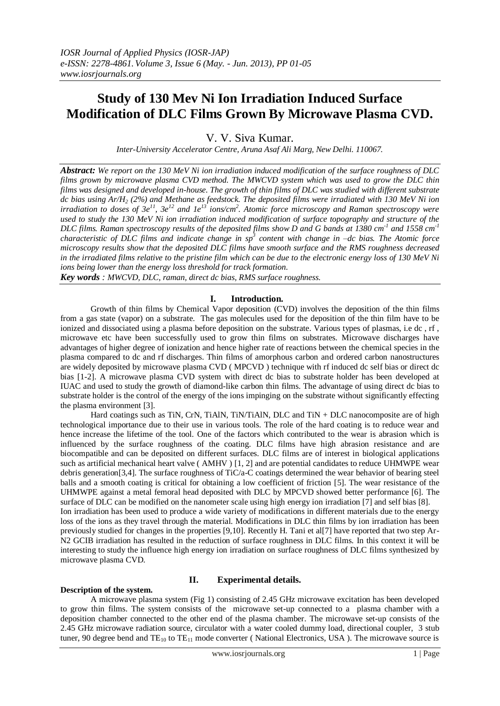# **Study of 130 Mev Ni Ion Irradiation Induced Surface Modification of DLC Films Grown By Microwave Plasma CVD.**

V. V. Siva Kumar.

*Inter-University Accelerator Centre, Aruna Asaf Ali Marg, New Delhi. 110067.*

*Abstract: We report on the 130 MeV Ni ion irradiation induced modification of the surface roughness of DLC films grown by microwave plasma CVD method. The MWCVD system which was used to grow the DLC thin films was designed and developed in-house. The growth of thin films of DLC was studied with different substrate dc bias using Ar/H<sup>2</sup> (2%) and Methane as feedstock. The deposited films were irradiated with 130 MeV Ni ion irradiation to doses of 3e<sup>11</sup>, 3e<sup>12</sup> and 1e<sup>13</sup> ions/cm<sup>2</sup> . Atomic force microscopy and Raman spectroscopy were used to study the 130 MeV Ni ion irradiation induced modification of surface topography and structure of the*  DLC films. Raman spectroscopy results of the deposited films show D and G bands at 1380  $cm<sup>-1</sup>$  and 1558  $cm<sup>-1</sup>$ *characteristic of DLC films and indicate change in sp*<sup>3</sup> content with change in –dc bias. The Atomic force *microscopy results show that the deposited DLC films have smooth surface and the RMS roughness decreased in the irradiated films relative to the pristine film which can be due to the electronic energy loss of 130 MeV Ni ions being lower than the energy loss threshold for track formation.* 

*Key words : MWCVD, DLC, raman, direct dc bias, RMS surface roughness.* 

## **I. Introduction.**

Growth of thin films by Chemical Vapor deposition (CVD) involves the deposition of the thin films from a gas state (vapor) on a substrate. The gas molecules used for the deposition of the thin film have to be ionized and dissociated using a plasma before deposition on the substrate. Various types of plasmas, i.e dc , rf , microwave etc have been successfully used to grow thin films on substrates. Microwave discharges have advantages of higher degree of ionization and hence higher rate of reactions between the chemical species in the plasma compared to dc and rf discharges. Thin films of amorphous carbon and ordered carbon nanostructures are widely deposited by microwave plasma CVD ( MPCVD ) technique with rf induced dc self bias or direct dc bias [1-2]. A microwave plasma CVD system with direct dc bias to substrate holder has been developed at IUAC and used to study the growth of diamond-like carbon thin films. The advantage of using direct dc bias to substrate holder is the control of the energy of the ions impinging on the substrate without significantly effecting the plasma environment [3].

Hard coatings such as TiN, CrN, TiAlN, TiN/TiAlN, DLC and TiN + DLC nanocomposite are of high technological importance due to their use in various tools. The role of the hard coating is to reduce wear and hence increase the lifetime of the tool. One of the factors which contributed to the wear is abrasion which is influenced by the surface roughness of the coating. DLC films have high abrasion resistance and are biocompatible and can be deposited on different surfaces. DLC films are of interest in biological applications such as artificial mechanical heart valve (AMHV) [1, 2] and are potential candidates to reduce UHMWPE wear debris generation[3,4]. The surface roughness of TiC/a-C coatings determined the wear behavior of bearing steel balls and a smooth coating is critical for obtaining a low coefficient of friction [5]. The wear resistance of the UHMWPE against a metal femoral head deposited with DLC by MPCVD showed better performance [6]. The surface of DLC can be modified on the nanometer scale using high energy ion irradiation [7] and self bias [8]. Ion irradiation has been used to produce a wide variety of modifications in different materials due to the energy loss of the ions as they travel through the material. Modifications in DLC thin films by ion irradiation has been previously studied for changes in the properties [9,10]. Recently H. Tani et al[7] have reported that two step Ar-N2 GCIB irradiation has resulted in the reduction of surface roughness in DLC films. In this context it will be interesting to study the influence high energy ion irradiation on surface roughness of DLC films synthesized by microwave plasma CVD.

### **Description of the system.**

# **II. Experimental details.**

A microwave plasma system (Fig 1) consisting of 2.45 GHz microwave excitation has been developed to grow thin films. The system consists of the microwave set-up connected to a plasma chamber with a deposition chamber connected to the other end of the plasma chamber. The microwave set-up consists of the 2.45 GHz microwave radiation source, circulator with a water cooled dummy load, directional coupler, 3 stub tuner, 90 degree bend and  $TE_{10}$  to  $TE_{11}$  mode converter (National Electronics, USA). The microwave source is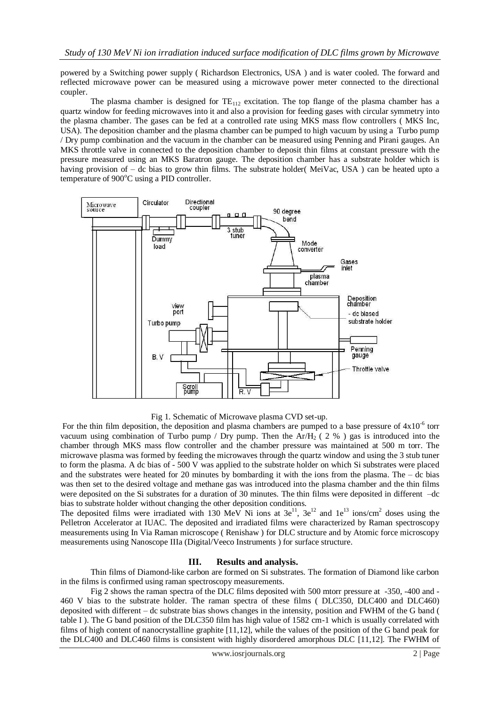powered by a Switching power supply ( Richardson Electronics, USA ) and is water cooled. The forward and reflected microwave power can be measured using a microwave power meter connected to the directional coupler.

The plasma chamber is designed for  $TE_{112}$  excitation. The top flange of the plasma chamber has a quartz window for feeding microwaves into it and also a provision for feeding gases with circular symmetry into the plasma chamber. The gases can be fed at a controlled rate using MKS mass flow controllers ( MKS Inc, USA). The deposition chamber and the plasma chamber can be pumped to high vacuum by using a Turbo pump / Dry pump combination and the vacuum in the chamber can be measured using Penning and Pirani gauges. An MKS throttle valve in connected to the deposition chamber to deposit thin films at constant pressure with the pressure measured using an MKS Baratron gauge. The deposition chamber has a substrate holder which is having provision of – dc bias to grow thin films. The substrate holder( MeiVac, USA) can be heated upto a temperature of  $900^{\circ}$ C using a PID controller.



Fig 1. Schematic of Microwave plasma CVD set-up.

For the thin film deposition, the deposition and plasma chambers are pumped to a base pressure of  $4x10^{-6}$  torr vacuum using combination of Turbo pump / Dry pump. Then the Ar/H<sub>2</sub> (2 %) gas is introduced into the chamber through MKS mass flow controller and the chamber pressure was maintained at 500 m torr. The microwave plasma was formed by feeding the microwaves through the quartz window and using the 3 stub tuner to form the plasma. A dc bias of - 500 V was applied to the substrate holder on which Si substrates were placed and the substrates were heated for 20 minutes by bombarding it with the ions from the plasma. The  $-$  dc bias was then set to the desired voltage and methane gas was introduced into the plasma chamber and the thin films were deposited on the Si substrates for a duration of 30 minutes. The thin films were deposited in different –dc bias to substrate holder without changing the other deposition conditions.

The deposited films were irradiated with 130 MeV Ni ions at  $3e^{11}$ ,  $3e^{12}$  and  $1e^{13}$  ions/cm<sup>2</sup> doses using the Pelletron Accelerator at IUAC. The deposited and irradiated films were characterized by Raman spectroscopy measurements using In Via Raman microscope ( Renishaw ) for DLC structure and by Atomic force microscopy measurements using Nanoscope IIIa (Digital/Veeco Instruments ) for surface structure.

## **III. Results and analysis.**

Thin films of Diamond-like carbon are formed on Si substrates. The formation of Diamond like carbon in the films is confirmed using raman spectroscopy measurements.

Fig 2 shows the raman spectra of the DLC films deposited with 500 mtorr pressure at -350, -400 and - 460 V bias to the substrate holder. The raman spectra of these films ( DLC350, DLC400 and DLC460) deposited with different – dc substrate bias shows changes in the intensity, position and FWHM of the G band ( table I ). The G band position of the DLC350 film has high value of 1582 cm-1 which is usually correlated with films of high content of nanocrystalline graphite [11,12], while the values of the position of the G band peak for the DLC400 and DLC460 films is consistent with highly disordered amorphous DLC [11,12]. The FWHM of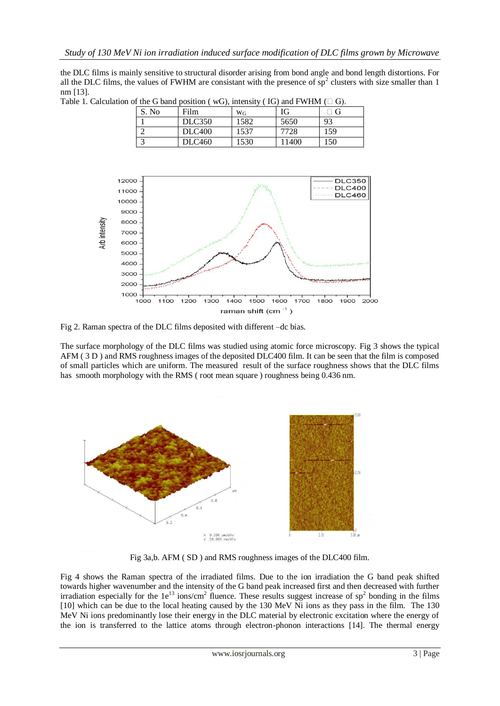the DLC films is mainly sensitive to structural disorder arising from bond angle and bond length distortions. For all the DLC films, the values of FWHM are consistant with the presence of  $sp<sup>2</sup>$  clusters with size smaller than 1 nm [13].

| For or the $\sigma$ vand position ( $\sigma \sigma$ ), intensity ( $\sigma$ ) and f $\sigma$ find ( $\equiv \sigma$ ). |       |               |       |      |     |
|------------------------------------------------------------------------------------------------------------------------|-------|---------------|-------|------|-----|
|                                                                                                                        | S. No | Film          | $W_G$ | IG   |     |
|                                                                                                                        |       | <b>DLC350</b> | 1582  | 5650 | 93  |
|                                                                                                                        |       | <b>DLC400</b> | 1537  | 7728 | 159 |
|                                                                                                                        |       | <b>DLC460</b> | 1530  | 1400 | 150 |

Table 1. Calculation of the G band position ( $wG$ ), intensity (IG) and FWHM ( $\Box$  G).



Fig 2. Raman spectra of the DLC films deposited with different –dc bias.

The surface morphology of the DLC films was studied using atomic force microscopy. Fig 3 shows the typical AFM ( 3 D ) and RMS roughness images of the deposited DLC400 film. It can be seen that the film is composed of small particles which are uniform. The measured result of the surface roughness shows that the DLC films has smooth morphology with the RMS (root mean square ) roughness being 0.436 nm.



Fig 3a,b. AFM ( SD ) and RMS roughness images of the DLC400 film.

Fig 4 shows the Raman spectra of the irradiated films. Due to the ion irradiation the G band peak shifted towards higher wavenumber and the intensity of the G band peak increased first and then decreased with further irradiation especially for the  $1e^{13}$  ions/cm<sup>2</sup> fluence. These results suggest increase of sp<sup>2</sup> bonding in the films [10] which can be due to the local heating caused by the 130 MeV Ni ions as they pass in the film. The 130 MeV Ni ions predominantly lose their energy in the DLC material by electronic excitation where the energy of the ion is transferred to the lattice atoms through electron-phonon interactions [14]. The thermal energy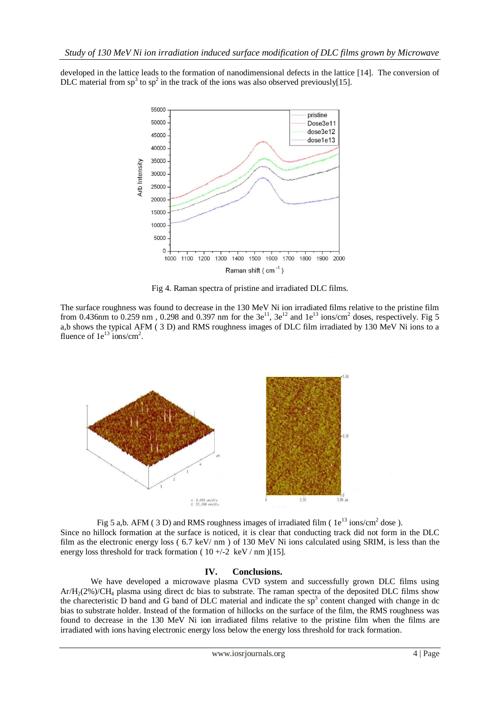developed in the lattice leads to the formation of nanodimensional defects in the lattice [14]. The conversion of DLC material from  $sp^3$  to  $sp^2$  in the track of the ions was also observed previously[15].



Fig 4. Raman spectra of pristine and irradiated DLC films.

The surface roughness was found to decrease in the 130 MeV Ni ion irradiated films relative to the pristine film from 0.436nm to 0.259 nm, 0.298 and 0.397 nm for the  $3e^{11}$ ,  $3e^{12}$  and  $1e^{13}$  ions/cm<sup>2</sup> doses, respectively. Fig 5 a,b shows the typical AFM ( 3 D) and RMS roughness images of DLC film irradiated by 130 MeV Ni ions to a fluence of  $1e^{13}$  ions/cm<sup>2</sup>.



Fig 5 a,b. AFM (3D) and RMS roughness images of irradiated film ( $1e^{13}$  ions/cm<sup>2</sup> dose). Since no hillock formation at the surface is noticed, it is clear that conducting track did not form in the DLC film as the electronic energy loss ( 6.7 keV/ nm ) of 130 MeV Ni ions calculated using SRIM, is less than the energy loss threshold for track formation ( $10 +/-2$  keV / nm )[15].

### **IV. Conclusions.**

We have developed a microwave plasma CVD system and successfully grown DLC films using Ar/H2(2%)/CH<sup>4</sup> plasma using direct dc bias to substrate. The raman spectra of the deposited DLC films show the charecteristic D band and G band of DLC material and indicate the  $sp<sup>3</sup>$  content changed with change in dc bias to substrate holder. Instead of the formation of hillocks on the surface of the film, the RMS roughness was found to decrease in the 130 MeV Ni ion irradiated films relative to the pristine film when the films are irradiated with ions having electronic energy loss below the energy loss threshold for track formation.